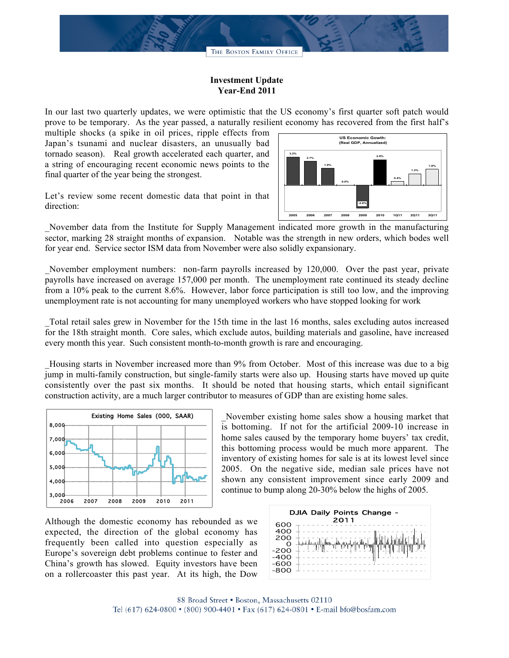

## **Investment Update Year-End 2011**

In our last two quarterly updates, we were optimistic that the US economy's first quarter soft patch would prove to be temporary. As the year passed, a naturally resilient economy has recovered from the first half's

multiple shocks (a spike in oil prices, ripple effects from Japan's tsunami and nuclear disasters, an unusually bad tornado season). Real growth accelerated each quarter, and a string of encouraging recent economic news points to the final quarter of the year being the strongest.



Let's review some recent domestic data that point in that direction:

\_November data from the Institute for Supply Management indicated more growth in the manufacturing sector, marking 28 straight months of expansion. Notable was the strength in new orders, which bodes well for year end. Service sector ISM data from November were also solidly expansionary.

November employment numbers: non-farm payrolls increased by 120,000. Over the past year, private payrolls have increased on average 157,000 per month. The unemployment rate continued its steady decline from a 10% peak to the current 8.6%. However, labor force participation is still too low, and the improving unemployment rate is not accounting for many unemployed workers who have stopped looking for work

\_Total retail sales grew in November for the 15th time in the last 16 months, sales excluding autos increased for the 18th straight month. Core sales, which exclude autos, building materials and gasoline, have increased every month this year. Such consistent month-to-month growth is rare and encouraging.

\_Housing starts in November increased more than 9% from October. Most of this increase was due to a big jump in multi-family construction, but single-family starts were also up. Housing starts have moved up quite consistently over the past six months. It should be noted that housing starts, which entail significant construction activity, are a much larger contributor to measures of GDP than are existing home sales.



\_November existing home sales show a housing market that is bottoming. If not for the artificial 2009-10 increase in home sales caused by the temporary home buyers' tax credit, this bottoming process would be much more apparent. The inventory of existing homes for sale is at its lowest level since 2005. On the negative side, median sale prices have not shown any consistent improvement since early 2009 and continue to bump along 20-30% below the highs of 2005.

Although the domestic economy has rebounded as we expected, the direction of the global economy has frequently been called into question especially as Europe's sovereign debt problems continue to fester and China's growth has slowed. Equity investors have been on a rollercoaster this past year. At its high, the Dow

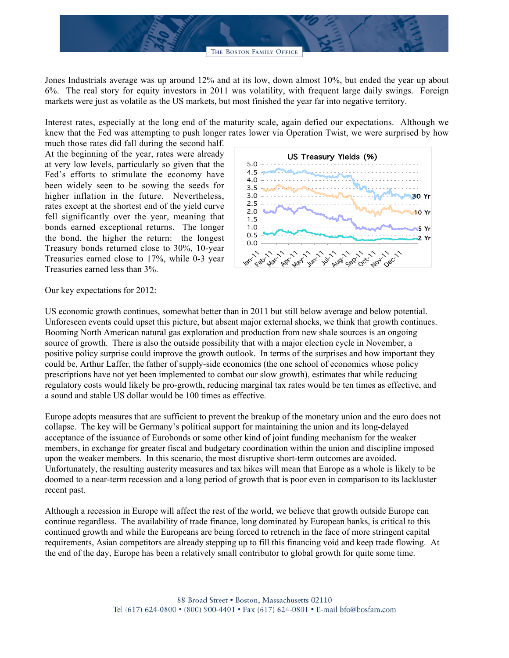

Jones Industrials average was up around 12% and at its low, down almost 10%, but ended the year up about 6%. The real story for equity investors in 2011 was volatility, with frequent large daily swings. Foreign markets were just as volatile as the US markets, but most finished the year far into negative territory.

Interest rates, especially at the long end of the maturity scale, again defied our expectations. Although we knew that the Fed was attempting to push longer rates lower via Operation Twist, we were surprised by how

much those rates did fall during the second half. At the beginning of the year, rates were already at very low levels, particularly so given that the Fed's efforts to stimulate the economy have been widely seen to be sowing the seeds for higher inflation in the future. Nevertheless, rates except at the shortest end of the yield curve fell significantly over the year, meaning that bonds earned exceptional returns. The longer the bond, the higher the return: the longest Treasury bonds returned close to 30%, 10-year Treasuries earned close to 17%, while 0-3 year Treasuries earned less than 3%.



Our key expectations for 2012:

US economic growth continues, somewhat better than in 2011 but still below average and below potential. Unforeseen events could upset this picture, but absent major external shocks, we think that growth continues. Booming North American natural gas exploration and production from new shale sources is an ongoing source of growth. There is also the outside possibility that with a major election cycle in November, a positive policy surprise could improve the growth outlook. In terms of the surprises and how important they could be, Arthur Laffer, the father of supply-side economics (the one school of economics whose policy prescriptions have not yet been implemented to combat our slow growth), estimates that while reducing regulatory costs would likely be pro-growth, reducing marginal tax rates would be ten times as effective, and a sound and stable US dollar would be 100 times as effective.

Europe adopts measures that are sufficient to prevent the breakup of the monetary union and the euro does not collapse. The key will be Germany's political support for maintaining the union and its long-delayed acceptance of the issuance of Eurobonds or some other kind of joint funding mechanism for the weaker members, in exchange for greater fiscal and budgetary coordination within the union and discipline imposed upon the weaker members. In this scenario, the most disruptive short-term outcomes are avoided. Unfortunately, the resulting austerity measures and tax hikes will mean that Europe as a whole is likely to be doomed to a near-term recession and a long period of growth that is poor even in comparison to its lackluster recent past.

Although a recession in Europe will affect the rest of the world, we believe that growth outside Europe can continue regardless. The availability of trade finance, long dominated by European banks, is critical to this continued growth and while the Europeans are being forced to retrench in the face of more stringent capital requirements, Asian competitors are already stepping up to fill this financing void and keep trade flowing. At the end of the day, Europe has been a relatively small contributor to global growth for quite some time.